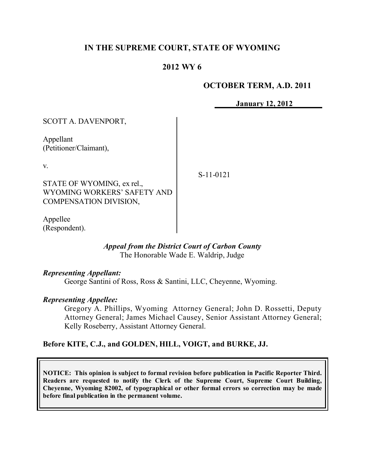# **IN THE SUPREME COURT, STATE OF WYOMING**

# **2012 WY 6**

### **OCTOBER TERM, A.D. 2011**

**January 12, 2012**

| <b>SCOTT A. DAVENPORT,</b>                                                                       |           |
|--------------------------------------------------------------------------------------------------|-----------|
| Appellant<br>(Petitioner/Claimant),                                                              |           |
| V.<br>STATE OF WYOMING, ex rel.,<br>WYOMING WORKERS' SAFETY AND<br><b>COMPENSATION DIVISION,</b> | S-11-0121 |
|                                                                                                  |           |

Appellee (Respondent).

#### *Appeal from the District Court of Carbon County* The Honorable Wade E. Waldrip, Judge

### *Representing Appellant:*

George Santini of Ross, Ross & Santini, LLC, Cheyenne, Wyoming.

### *Representing Appellee:*

Gregory A. Phillips, Wyoming Attorney General; John D. Rossetti, Deputy Attorney General; James Michael Causey, Senior Assistant Attorney General; Kelly Roseberry, Assistant Attorney General.

### **Before KITE, C.J., and GOLDEN, HILL, VOIGT, and BURKE, JJ.**

**NOTICE: This opinion is subject to formal revision before publication in Pacific Reporter Third. Readers are requested to notify the Clerk of the Supreme Court, Supreme Court Building, Cheyenne, Wyoming 82002, of typographical or other formal errors so correction may be made before final publication in the permanent volume.**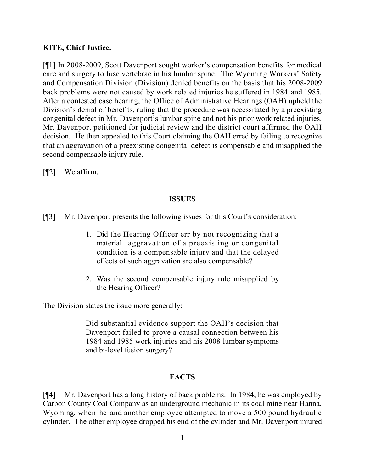# **KITE, Chief Justice.**

[¶1] In 2008-2009, Scott Davenport sought worker's compensation benefits for medical care and surgery to fuse vertebrae in his lumbar spine. The Wyoming Workers' Safety and Compensation Division (Division) denied benefits on the basis that his 2008-2009 back problems were not caused by work related injuries he suffered in 1984 and 1985. After a contested case hearing, the Office of Administrative Hearings (OAH) upheld the Division's denial of benefits, ruling that the procedure was necessitated by a preexisting congenital defect in Mr. Davenport's lumbar spine and not his prior work related injuries. Mr. Davenport petitioned for judicial review and the district court affirmed the OAH decision. He then appealed to this Court claiming the OAH erred by failing to recognize that an aggravation of a preexisting congenital defect is compensable and misapplied the second compensable injury rule.

[¶2] We affirm.

# **ISSUES**

- [¶3] Mr. Davenport presents the following issues for this Court's consideration:
	- 1. Did the Hearing Officer err by not recognizing that a material aggravation of a preexisting or congenital condition is a compensable injury and that the delayed effects of such aggravation are also compensable?
	- 2. Was the second compensable injury rule misapplied by the Hearing Officer?

The Division states the issue more generally:

Did substantial evidence support the OAH's decision that Davenport failed to prove a causal connection between his 1984 and 1985 work injuries and his 2008 lumbar symptoms and bi-level fusion surgery?

# **FACTS**

[¶4] Mr. Davenport has a long history of back problems. In 1984, he was employed by Carbon County Coal Company as an underground mechanic in its coal mine near Hanna, Wyoming, when he and another employee attempted to move a 500 pound hydraulic cylinder. The other employee dropped his end of the cylinder and Mr. Davenport injured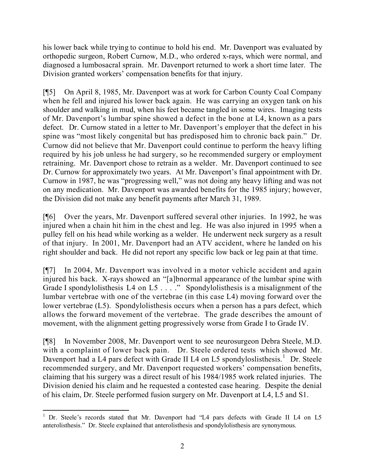his lower back while trying to continue to hold his end. Mr. Davenport was evaluated by orthopedic surgeon, Robert Curnow, M.D., who ordered x-rays, which were normal, and diagnosed a lumbosacral sprain. Mr. Davenport returned to work a short time later. The Division granted workers' compensation benefits for that injury.

[¶5] On April 8, 1985, Mr. Davenport was at work for Carbon County Coal Company when he fell and injured his lower back again. He was carrying an oxygen tank on his shoulder and walking in mud, when his feet became tangled in some wires. Imaging tests of Mr. Davenport's lumbar spine showed a defect in the bone at L4, known as a pars defect. Dr. Curnow stated in a letter to Mr. Davenport's employer that the defect in his spine was "most likely congenital but has predisposed him to chronic back pain." Dr. Curnow did not believe that Mr. Davenport could continue to perform the heavy lifting required by his job unless he had surgery, so he recommended surgery or employment retraining. Mr. Davenport chose to retrain as a welder. Mr. Davenport continued to see Dr. Curnow for approximately two years. At Mr. Davenport's final appointment with Dr. Curnow in 1987, he was "progressing well," was not doing any heavy lifting and was not on any medication. Mr. Davenport was awarded benefits for the 1985 injury; however, the Division did not make any benefit payments after March 31, 1989.

[¶6] Over the years, Mr. Davenport suffered several other injuries. In 1992, he was injured when a chain hit him in the chest and leg. He was also injured in 1995 when a pulley fell on his head while working as a welder. He underwent neck surgery as a result of that injury. In 2001, Mr. Davenport had an ATV accident, where he landed on his right shoulder and back. He did not report any specific low back or leg pain at that time.

[¶7] In 2004, Mr. Davenport was involved in a motor vehicle accident and again injured his back. X-rays showed an "[a]bnormal appearance of the lumbar spine with Grade I spondylolisthesis L4 on L5 . . . . " Spondylolisthesis is a misalignment of the lumbar vertebrae with one of the vertebrae (in this case L4) moving forward over the lower vertebrae (L5). Spondylolisthesis occurs when a person has a pars defect, which allows the forward movement of the vertebrae. The grade describes the amount of movement, with the alignment getting progressively worse from Grade I to Grade IV.

[¶8] In November 2008, Mr. Davenport went to see neurosurgeon Debra Steele, M.D. with a complaint of lower back pain. Dr. Steele ordered tests which showed Mr. Davenport had a L4 pars defect with Grade II L4 on L5 spondyloslisthesis.<sup>1</sup> Dr. Steele recommended surgery, and Mr. Davenport requested workers' compensation benefits, claiming that his surgery was a direct result of his 1984/1985 work related injuries. The Division denied his claim and he requested a contested case hearing. Despite the denial of his claim, Dr. Steele performed fusion surgery on Mr. Davenport at L4, L5 and S1.

 $\overline{a}$ <sup>1</sup> Dr. Steele's records stated that Mr. Davenport had "L4 pars defects with Grade II L4 on L5 anterolisthesis." Dr. Steele explained that anterolisthesis and spondylolisthesis are synonymous.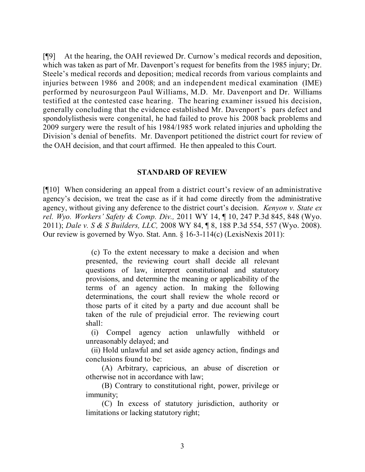[¶9] At the hearing, the OAH reviewed Dr. Curnow's medical records and deposition, which was taken as part of Mr. Davenport's request for benefits from the 1985 injury; Dr. Steele's medical records and deposition; medical records from various complaints and injuries between 1986 and 2008; and an independent medical examination (IME) performed by neurosurgeon Paul Williams, M.D. Mr. Davenport and Dr. Williams testified at the contested case hearing. The hearing examiner issued his decision, generally concluding that the evidence established Mr. Davenport's pars defect and spondolylisthesis were congenital, he had failed to prove his 2008 back problems and 2009 surgery were the result of his 1984/1985 work related injuries and upholding the Division's denial of benefits. Mr. Davenport petitioned the district court for review of the OAH decision, and that court affirmed. He then appealed to this Court.

#### **STANDARD OF REVIEW**

[¶10] When considering an appeal from a district court's review of an administrative agency's decision, we treat the case as if it had come directly from the administrative agency, without giving any deference to the district court's decision. *Kenyon v. State ex rel. Wyo. Workers' Safety & Comp. Div.,* 2011 WY 14, ¶ 10, 247 P.3d 845, 848 (Wyo. 2011); *Dale v. S & S Builders, LLC,* 2008 WY 84, ¶ 8, 188 P.3d 554, 557 (Wyo. 2008). Our review is governed by Wyo. Stat. Ann. § 16-3-114(c) (LexisNexis 2011):

> (c) To the extent necessary to make a decision and when presented, the reviewing court shall decide all relevant questions of law, interpret constitutional and statutory provisions, and determine the meaning or applicability of the terms of an agency action. In making the following determinations, the court shall review the whole record or those parts of it cited by a party and due account shall be taken of the rule of prejudicial error. The reviewing court shall:

> (i) Compel agency action unlawfully withheld or unreasonably delayed; and

> (ii) Hold unlawful and set aside agency action, findings and conclusions found to be:

> (A) Arbitrary, capricious, an abuse of discretion or otherwise not in accordance with law;

> (B) Contrary to constitutional right, power, privilege or immunity;

> (C) In excess of statutory jurisdiction, authority or limitations or lacking statutory right;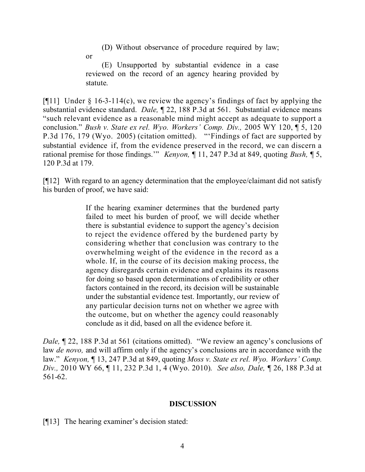(D) Without observance of procedure required by law;

or

(E) Unsupported by substantial evidence in a case reviewed on the record of an agency hearing provided by statute.

[ $[$ [11] Under  $\S$  16-3-114(c), we review the agency's findings of fact by applying the substantial evidence standard. *Dale,* ¶ 22, 188 P.3d at 561. Substantial evidence means "such relevant evidence as a reasonable mind might accept as adequate to support a conclusion." *Bush v. State ex rel. Wyo. Workers' Comp. Div.,* 2005 WY 120, ¶ 5, 120 P.3d 176, 179 (Wyo. 2005) (citation omitted). "'Findings of fact are supported by substantial evidence if, from the evidence preserved in the record, we can discern a rational premise for those findings.'" *Kenyon,* ¶ 11, 247 P.3d at 849, quoting *Bush,* ¶ 5, 120 P.3d at 179.

[¶12] With regard to an agency determination that the employee/claimant did not satisfy his burden of proof, we have said:

> If the hearing examiner determines that the burdened party failed to meet his burden of proof, we will decide whether there is substantial evidence to support the agency's decision to reject the evidence offered by the burdened party by considering whether that conclusion was contrary to the overwhelming weight of the evidence in the record as a whole. If, in the course of its decision making process, the agency disregards certain evidence and explains its reasons for doing so based upon determinations of credibility or other factors contained in the record, its decision will be sustainable under the substantial evidence test. Importantly, our review of any particular decision turns not on whether we agree with the outcome, but on whether the agency could reasonably conclude as it did, based on all the evidence before it.

*Dale*,  $\sqrt{22}$ , 188 P.3d at 561 (citations omitted). "We review an agency's conclusions of law *de novo,* and will affirm only if the agency's conclusions are in accordance with the law." *Kenyon,* ¶ 13, 247 P.3d at 849, quoting *Moss v. State ex rel. Wyo. Workers' Comp. Div.,* 2010 WY 66, ¶ 11, 232 P.3d 1, 4 (Wyo. 2010). *See also, Dale,* ¶ 26, 188 P.3d at 561-62.

### **DISCUSSION**

[¶13] The hearing examiner's decision stated: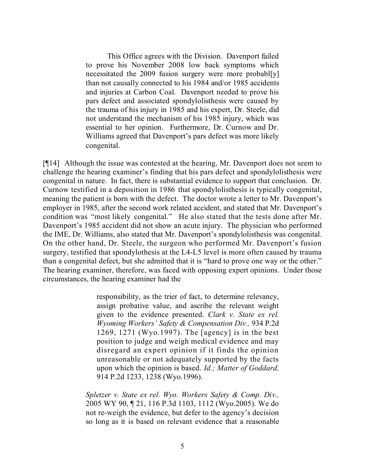This Office agrees with the Division. Davenport failed to prove his November 2008 low back symptoms which necessitated the 2009 fusion surgery were more probabl[y] than not causally connected to his 1984 and/or 1985 accidents and injuries at Carbon Coal. Davenport needed to prove his pars defect and associated spondylolisthesis were caused by the trauma of his injury in 1985 and his expert, Dr. Steele, did not understand the mechanism of his 1985 injury, which was essential to her opinion. Furthermore, Dr. Curnow and Dr. Williams agreed that Davenport's pars defect was more likely congenital.

[¶14] Although the issue was contested at the hearing, Mr. Davenport does not seem to challenge the hearing examiner's finding that his pars defect and spondylolisthesis were congenital in nature. In fact, there is substantial evidence to support that conclusion. Dr. Curnow testified in a deposition in 1986 that spondylolisthesis is typically congenital, meaning the patient is born with the defect. The doctor wrote a letter to Mr. Davenport's employer in 1985, after the second work related accident, and stated that Mr. Davenport's condition was "most likely congenital." He also stated that the tests done after Mr. Davenport's 1985 accident did not show an acute injury. The physician who performed the IME, Dr. Williams, also stated that Mr. Davenport's spondylolisthesis was congenital. On the other hand, Dr. Steele, the surgeon who performed Mr. Davenport's fusion surgery, testified that spondylothesis at the L4-L5 level is more often caused by trauma than a congenital defect, but she admitted that it is "hard to prove one way or the other." The hearing examiner, therefore, was faced with opposing expert opinions. Under those circumstances, the hearing examiner had the

> responsibility, as the trier of fact, to determine relevancy, assign probative value, and ascribe the relevant weight given to the evidence presented. *Clark v. State ex rel. Wyoming Workers' Safety & Compensation Div.,* 934 P.2d 1269, 1271 (Wyo.1997). The [agency] is in the best position to judge and weigh medical evidence and may disregard an expert opinion if it finds the opinion unreasonable or not adequately supported by the facts upon which the opinion is based. *Id.; Matter of Goddard,* 914 P.2d 1233, 1238 (Wyo.1996).

*Spletzer v. State ex rel. Wyo. Workers Safety & Comp. Div.,* 2005 WY 90, ¶ 21, 116 P.3d 1103, 1112 (Wyo.2005). We do not re-weigh the evidence, but defer to the agency's decision so long as it is based on relevant evidence that a reasonable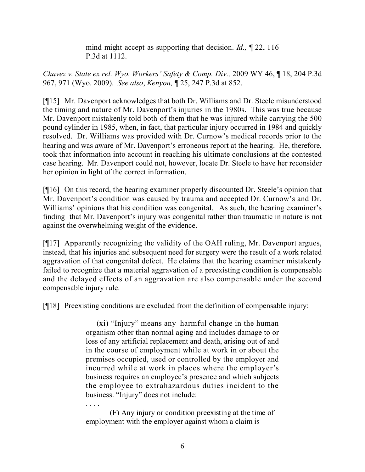mind might accept as supporting that decision. *Id.,* ¶ 22, 116 P.3d at 1112.

*Chavez v. State ex rel. Wyo. Workers' Safety & Comp. Div.,* 2009 WY 46, ¶ 18, 204 P.3d 967, 971 (Wyo. 2009). *See also*, *Kenyon,* ¶ 25, 247 P.3d at 852.

[¶15] Mr. Davenport acknowledges that both Dr. Williams and Dr. Steele misunderstood the timing and nature of Mr. Davenport's injuries in the 1980s. This was true because Mr. Davenport mistakenly told both of them that he was injured while carrying the 500 pound cylinder in 1985, when, in fact, that particular injury occurred in 1984 and quickly resolved. Dr. Williams was provided with Dr. Curnow's medical records prior to the hearing and was aware of Mr. Davenport's erroneous report at the hearing. He, therefore, took that information into account in reaching his ultimate conclusions at the contested case hearing. Mr. Davenport could not, however, locate Dr. Steele to have her reconsider her opinion in light of the correct information.

[¶16] On this record, the hearing examiner properly discounted Dr. Steele's opinion that Mr. Davenport's condition was caused by trauma and accepted Dr. Curnow's and Dr. Williams' opinions that his condition was congenital. As such, the hearing examiner's finding that Mr. Davenport's injury was congenital rather than traumatic in nature is not against the overwhelming weight of the evidence.

[¶17] Apparently recognizing the validity of the OAH ruling, Mr. Davenport argues, instead, that his injuries and subsequent need for surgery were the result of a work related aggravation of that congenital defect. He claims that the hearing examiner mistakenly failed to recognize that a material aggravation of a preexisting condition is compensable and the delayed effects of an aggravation are also compensable under the second compensable injury rule.

[¶18] Preexisting conditions are excluded from the definition of compensable injury:

(xi) "Injury" means any harmful change in the human organism other than normal aging and includes damage to or loss of any artificial replacement and death, arising out of and in the course of employment while at work in or about the premises occupied, used or controlled by the employer and incurred while at work in places where the employer's business requires an employee's presence and which subjects the employee to extrahazardous duties incident to the business. "Injury" does not include:

(F) Any injury or condition preexisting at the time of employment with the employer against whom a claim is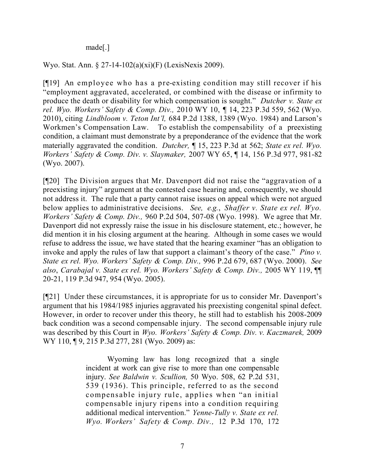made[.]

### Wyo. Stat. Ann. § 27-14-102(a)(xi)(F) (LexisNexis 2009).

[¶19] An employee who has a pre-existing condition may still recover if his "employment aggravated, accelerated, or combined with the disease or infirmity to produce the death or disability for which compensation is sought." *Dutcher v. State ex rel. Wyo. Workers' Safety & Comp. Div.,* 2010 WY 10, *¶* 14, 223 P.3d 559, 562 (Wyo. 2010), citing *Lindbloom v. Teton Int'l,* 684 P.2d 1388, 1389 (Wyo. 1984) and Larson's Workmen's Compensation Law. To establish the compensability of a preexisting condition, a claimant must demonstrate by a preponderance of the evidence that the work materially aggravated the condition. *Dutcher,* ¶ 15, 223 P.3d at 562; *State ex rel. Wyo. Workers' Safety & Comp. Div. v. Slaymaker,* 2007 WY 65, ¶ 14, 156 P.3d 977, 981-82 (Wyo. 2007).

[¶20] The Division argues that Mr. Davenport did not raise the "aggravation of a preexisting injury" argument at the contested case hearing and, consequently, we should not address it. The rule that a party cannot raise issues on appeal which were not argued below applies to administrative decisions. *See, e.g.*, *Shaffer v. State ex rel. Wyo. Workers' Safety & Comp. Div.,* 960 P.2d 504, 507-08 (Wyo. 1998). We agree that Mr. Davenport did not expressly raise the issue in his disclosure statement, etc.; however, he did mention it in his closing argument at the hearing. Although in some cases we would refuse to address the issue, we have stated that the hearing examiner "has an obligation to invoke and apply the rules of law that support a claimant's theory of the case." *Pino v. State ex rel. Wyo. Workers' Safety & Comp. Div.,* 996 P.2d 679, 687 (Wyo. 2000). *See also*, *Carabajal v. State ex rel. Wyo. Workers' Safety & Comp. Div.,* 2005 WY 119, ¶¶ 20-21, 119 P.3d 947, 954 (Wyo. 2005).

[¶21] Under these circumstances, it is appropriate for us to consider Mr. Davenport's argument that his 1984/1985 injuries aggravated his preexisting congenital spinal defect. However, in order to recover under this theory, he still had to establish his 2008-2009 back condition was a second compensable injury. The second compensable injury rule was described by this Court in *Wyo. Workers' Safety & Comp. Div. v. Kaczmarek,* 2009 WY 110, 19, 215 P.3d 277, 281 (Wyo. 2009) as:

> Wyoming law has long recognized that a single incident at work can give rise to more than one compensable injury. *See Baldwin v. Scullion,* 50 Wyo. 508, 62 P.2d 531, 539 (1936). This principle, referred to as the second compensable injury rule, applies when "an initial compensable injury ripens into a condition requiring additional medical intervention." *Yenne-Tully v. State ex rel. Wyo. Workers' Safety & Comp. Div.,* 12 P.3d 170, 172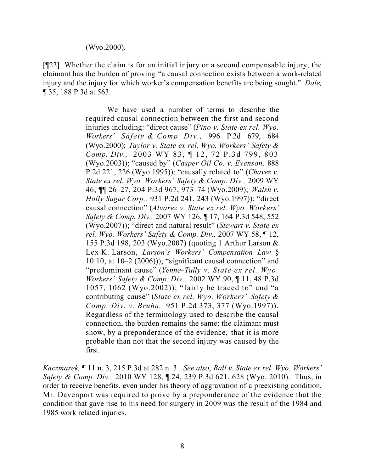### (Wyo.2000).

[¶22] Whether the claim is for an initial injury or a second compensable injury, the claimant has the burden of proving "a causal connection exists between a work-related injury and the injury for which worker's compensation benefits are being sought." *Dale,*  ¶ 35, 188 P.3d at 563.

> We have used a number of terms to describe the required causal connection between the first and second injuries including: "direct cause" (*Pino v. State ex rel. Wyo. Workers' Safety & Comp. Div.,* 996 P.2d 679, 684 (Wyo.2000); *Taylor v. State ex rel. Wyo. Workers' Safety & Comp. Div.,* 2003 WY 83, ¶ 12, 72 P.3d 799, 803 (Wyo.2003)); "caused by" (*Casper Oil Co. v. Evenson,* 888 P.2d 221, 226 (Wyo.1995)); "causally related to" (*Chavez v. State ex rel. Wyo. Workers' Safety & Comp. Div.,* 2009 WY 46, ¶¶ 26–27, 204 P.3d 967, 973–74 (Wyo.2009); *Walsh v. Holly Sugar Corp.,* 931 P.2d 241, 243 (Wyo.1997)); "direct causal connection" (*Alvarez v. State ex rel. Wyo. Workers' Safety & Comp. Div.,* 2007 WY 126, ¶ 17, 164 P.3d 548, 552 (Wyo.2007)); "direct and natural result" (*Stewart v. State ex rel. Wyo. Workers' Safety & Comp. Div.,* 2007 WY 58, ¶ 12, 155 P.3d 198, 203 (Wyo.2007) (quoting 1 Arthur Larson & Lex K. Larson, *Larson's Workers' Compensation Law* § 10.10, at 10–2 (2006))); "significant causal connection" and "predominant cause" (*Yenne–Tully v. State ex rel. Wyo. Workers' Safety & Comp. Div.,* 2002 WY 90, ¶ 11, 48 P.3d 1057, 1062 (Wyo.2002)); "fairly be traced to" and "a contributing cause" (*State ex rel. Wyo. Workers' Safety & Comp. Div. v. Bruhn,* 951 P.2d 373, 377 (Wyo.1997)). Regardless of the terminology used to describe the causal connection, the burden remains the same: the claimant must show, by a preponderance of the evidence, that it is more probable than not that the second injury was caused by the first.

*Kaczmarek,* ¶ 11 n. 3, 215 P.3d at 282 n. 3. *See also*, *Ball v. State ex rel. Wyo. Workers' Safety & Comp. Div.,* 2010 WY 128, ¶ 24, 239 P.3d 621, 628 (Wyo. 2010). Thus, in order to receive benefits, even under his theory of aggravation of a preexisting condition, Mr. Davenport was required to prove by a preponderance of the evidence that the condition that gave rise to his need for surgery in 2009 was the result of the 1984 and 1985 work related injuries.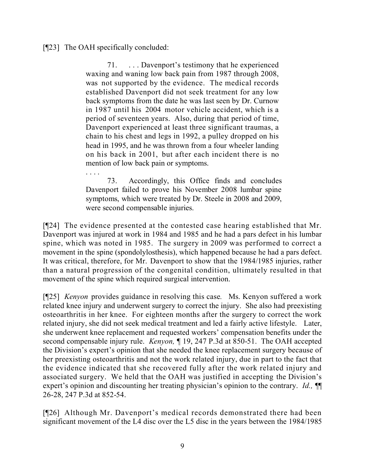[¶23] The OAH specifically concluded:

. . . .

71. . . . Davenport's testimony that he experienced waxing and waning low back pain from 1987 through 2008, was not supported by the evidence. The medical records established Davenport did not seek treatment for any low back symptoms from the date he was last seen by Dr. Curnow in 1987 until his 2004 motor vehicle accident, which is a period of seventeen years. Also, during that period of time, Davenport experienced at least three significant traumas, a chain to his chest and legs in 1992, a pulley dropped on his head in 1995, and he was thrown from a four wheeler landing on his back in 2001, but after each incident there is no mention of low back pain or symptoms.

73. Accordingly, this Office finds and concludes Davenport failed to prove his November 2008 lumbar spine symptoms, which were treated by Dr. Steele in 2008 and 2009, were second compensable injuries.

[¶24] The evidence presented at the contested case hearing established that Mr. Davenport was injured at work in 1984 and 1985 and he had a pars defect in his lumbar spine, which was noted in 1985. The surgery in 2009 was performed to correct a movement in the spine (spondolylosthesis), which happened because he had a pars defect. It was critical, therefore, for Mr. Davenport to show that the 1984/1985 injuries, rather than a natural progression of the congenital condition, ultimately resulted in that movement of the spine which required surgical intervention.

[¶25] *Kenyon* provides guidance in resolving this case*.* Ms. Kenyon suffered a work related knee injury and underwent surgery to correct the injury. She also had preexisting osteoarthritis in her knee. For eighteen months after the surgery to correct the work related injury, she did not seek medical treatment and led a fairly active lifestyle. Later, she underwent knee replacement and requested workers' compensation benefits under the second compensable injury rule. *Kenyon,* ¶ 19, 247 P.3d at 850-51. The OAH accepted the Division's expert's opinion that she needed the knee replacement surgery because of her preexisting osteoarthritis and not the work related injury, due in part to the fact that the evidence indicated that she recovered fully after the work related injury and associated surgery. We held that the OAH was justified in accepting the Division's expert's opinion and discounting her treating physician's opinion to the contrary. *Id.,* ¶¶ 26-28, 247 P.3d at 852-54.

[¶26] Although Mr. Davenport's medical records demonstrated there had been significant movement of the L4 disc over the L5 disc in the years between the 1984/1985